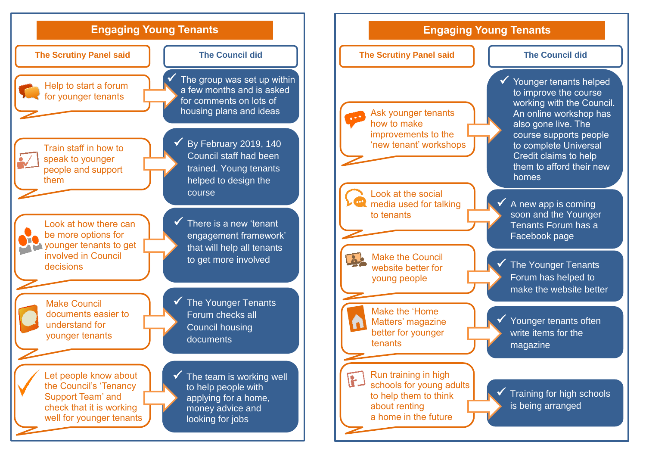